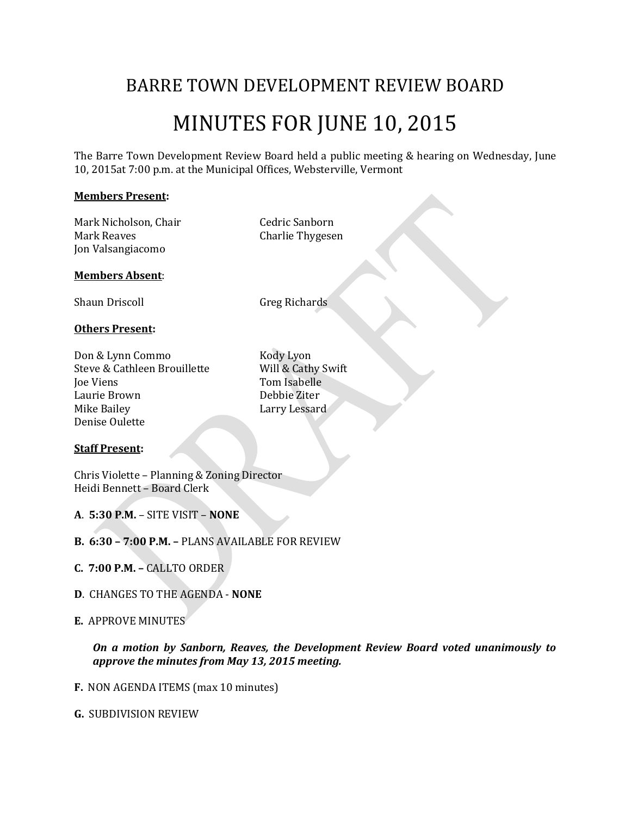# BARRE TOWN DEVELOPMENT REVIEW BOARD

# MINUTES FOR JUNE 10, 2015

The Barre Town Development Review Board held a public meeting & hearing on Wednesday, June 10, 2015at 7:00 p.m. at the Municipal Offices, Websterville, Vermont

#### **Members Present:**

Mark Nicholson, Chair **Cedric Sanborn** Mark Reaves **Charlie Thygesen** Jon Valsangiacomo

#### **Members Absent**:

Shaun Driscoll Greg Richards

#### **Others Present:**

Don & Lynn Commo Kody Lyon Steve & Cathleen Brouillette Will & Cathy Swift Joe Viens Tom Isabelle Laurie Brown Debbie Ziter Mike Bailey **Larry Lessard** Denise Oulette

#### **Staff Present:**

Chris Violette – Planning & Zoning Director Heidi Bennett – Board Clerk

**A**. **5:30 P.M.** – SITE VISIT – **NONE**

- **B. 6:30 – 7:00 P.M. –** PLANS AVAILABLE FOR REVIEW
- **C. 7:00 P.M. –** CALLTO ORDER
- **D**. CHANGES TO THE AGENDA **NONE**

#### **E.** APPROVE MINUTES

*On a motion by Sanborn, Reaves, the Development Review Board voted unanimously to approve the minutes from May 13, 2015 meeting.* 

**F.** NON AGENDA ITEMS (max 10 minutes)

#### **G.** SUBDIVISION REVIEW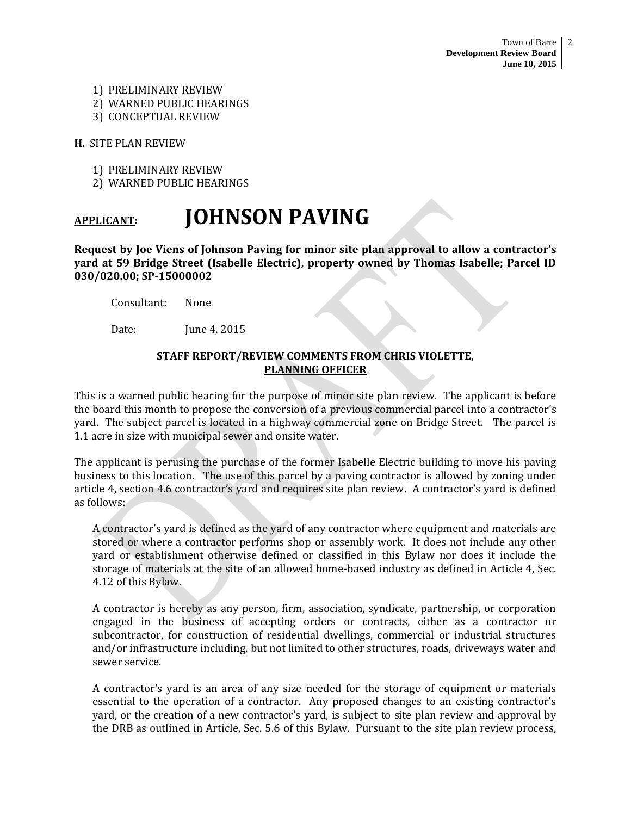- 1) PRELIMINARY REVIEW
- 2) WARNED PUBLIC HEARINGS
- 3) CONCEPTUAL REVIEW

**H.** SITE PLAN REVIEW

- 1) PRELIMINARY REVIEW
- 2) WARNED PUBLIC HEARINGS

# **APPLICANT: JOHNSON PAVING**

**Request by Joe Viens of Johnson Paving for minor site plan approval to allow a contractor's yard at 59 Bridge Street (Isabelle Electric), property owned by Thomas Isabelle; Parcel ID 030/020.00; SP-15000002**

Consultant: None

Date: **Iune 4, 2015** 

# **STAFF REPORT/REVIEW COMMENTS FROM CHRIS VIOLETTE, PLANNING OFFICER**

This is a warned public hearing for the purpose of minor site plan review. The applicant is before the board this month to propose the conversion of a previous commercial parcel into a contractor's yard. The subject parcel is located in a highway commercial zone on Bridge Street. The parcel is 1.1 acre in size with municipal sewer and onsite water.

The applicant is perusing the purchase of the former Isabelle Electric building to move his paving business to this location. The use of this parcel by a paving contractor is allowed by zoning under article 4, section 4.6 contractor's yard and requires site plan review. A contractor's yard is defined as follows:

A contractor's yard is defined as the yard of any contractor where equipment and materials are stored or where a contractor performs shop or assembly work. It does not include any other yard or establishment otherwise defined or classified in this Bylaw nor does it include the storage of materials at the site of an allowed home-based industry as defined in Article 4, Sec. 4.12 of this Bylaw.

A contractor is hereby as any person, firm, association, syndicate, partnership, or corporation engaged in the business of accepting orders or contracts, either as a contractor or subcontractor, for construction of residential dwellings, commercial or industrial structures and/or infrastructure including, but not limited to other structures, roads, driveways water and sewer service.

A contractor's yard is an area of any size needed for the storage of equipment or materials essential to the operation of a contractor. Any proposed changes to an existing contractor's yard, or the creation of a new contractor's yard, is subject to site plan review and approval by the DRB as outlined in Article, Sec. 5.6 of this Bylaw. Pursuant to the site plan review process,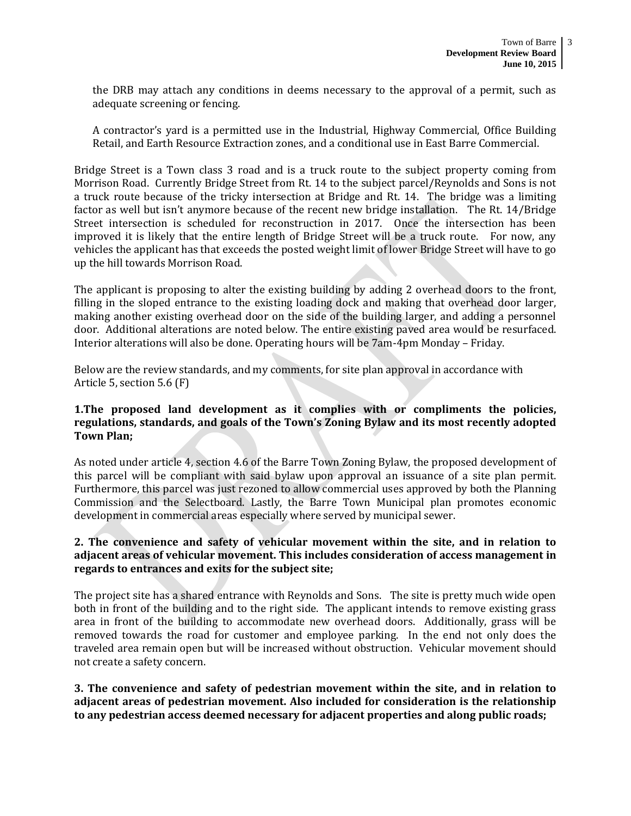the DRB may attach any conditions in deems necessary to the approval of a permit, such as adequate screening or fencing.

A contractor's yard is a permitted use in the Industrial, Highway Commercial, Office Building Retail, and Earth Resource Extraction zones, and a conditional use in East Barre Commercial.

Bridge Street is a Town class 3 road and is a truck route to the subject property coming from Morrison Road. Currently Bridge Street from Rt. 14 to the subject parcel/Reynolds and Sons is not a truck route because of the tricky intersection at Bridge and Rt. 14. The bridge was a limiting factor as well but isn't anymore because of the recent new bridge installation. The Rt. 14/Bridge Street intersection is scheduled for reconstruction in 2017. Once the intersection has been improved it is likely that the entire length of Bridge Street will be a truck route. For now, any vehicles the applicant has that exceeds the posted weight limit of lower Bridge Street will have to go up the hill towards Morrison Road.

The applicant is proposing to alter the existing building by adding 2 overhead doors to the front, filling in the sloped entrance to the existing loading dock and making that overhead door larger, making another existing overhead door on the side of the building larger, and adding a personnel door. Additional alterations are noted below. The entire existing paved area would be resurfaced. Interior alterations will also be done. Operating hours will be 7am-4pm Monday – Friday.

Below are the review standards, and my comments, for site plan approval in accordance with Article 5, section 5.6 (F)

# **1.The proposed land development as it complies with or compliments the policies, regulations, standards, and goals of the Town's Zoning Bylaw and its most recently adopted Town Plan;**

As noted under article 4, section 4.6 of the Barre Town Zoning Bylaw, the proposed development of this parcel will be compliant with said bylaw upon approval an issuance of a site plan permit. Furthermore, this parcel was just rezoned to allow commercial uses approved by both the Planning Commission and the Selectboard. Lastly, the Barre Town Municipal plan promotes economic development in commercial areas especially where served by municipal sewer.

# **2. The convenience and safety of vehicular movement within the site, and in relation to adjacent areas of vehicular movement. This includes consideration of access management in regards to entrances and exits for the subject site;**

The project site has a shared entrance with Reynolds and Sons. The site is pretty much wide open both in front of the building and to the right side. The applicant intends to remove existing grass area in front of the building to accommodate new overhead doors. Additionally, grass will be removed towards the road for customer and employee parking. In the end not only does the traveled area remain open but will be increased without obstruction. Vehicular movement should not create a safety concern.

**3. The convenience and safety of pedestrian movement within the site, and in relation to adjacent areas of pedestrian movement. Also included for consideration is the relationship to any pedestrian access deemed necessary for adjacent properties and along public roads;**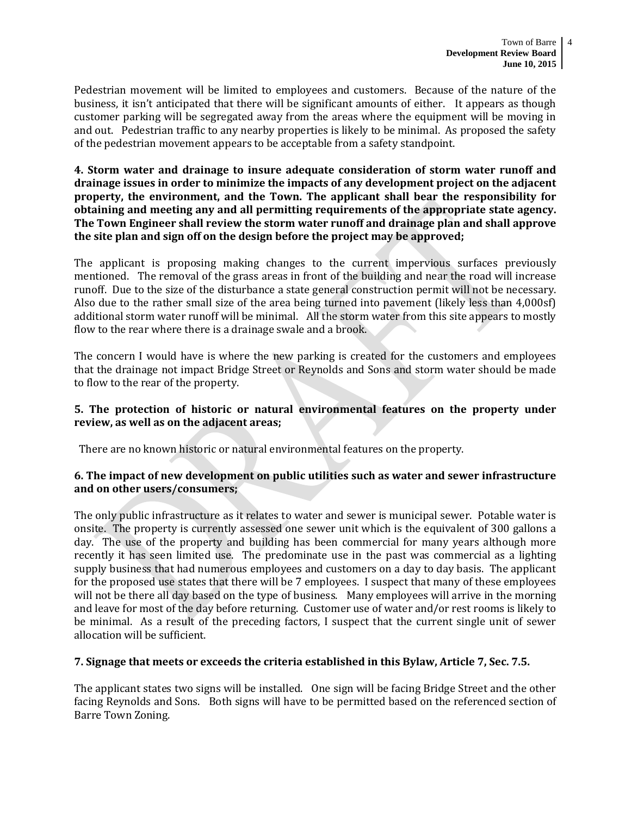Pedestrian movement will be limited to employees and customers. Because of the nature of the business, it isn't anticipated that there will be significant amounts of either. It appears as though customer parking will be segregated away from the areas where the equipment will be moving in and out. Pedestrian traffic to any nearby properties is likely to be minimal. As proposed the safety of the pedestrian movement appears to be acceptable from a safety standpoint.

**4. Storm water and drainage to insure adequate consideration of storm water runoff and drainage issues in order to minimize the impacts of any development project on the adjacent property, the environment, and the Town. The applicant shall bear the responsibility for obtaining and meeting any and all permitting requirements of the appropriate state agency. The Town Engineer shall review the storm water runoff and drainage plan and shall approve the site plan and sign off on the design before the project may be approved;** 

The applicant is proposing making changes to the current impervious surfaces previously mentioned. The removal of the grass areas in front of the building and near the road will increase runoff. Due to the size of the disturbance a state general construction permit will not be necessary. Also due to the rather small size of the area being turned into pavement (likely less than 4,000sf) additional storm water runoff will be minimal. All the storm water from this site appears to mostly flow to the rear where there is a drainage swale and a brook.

The concern I would have is where the new parking is created for the customers and employees that the drainage not impact Bridge Street or Reynolds and Sons and storm water should be made to flow to the rear of the property.

# **5. The protection of historic or natural environmental features on the property under review, as well as on the adjacent areas;**

There are no known historic or natural environmental features on the property.

# **6. The impact of new development on public utilities such as water and sewer infrastructure and on other users/consumers;**

The only public infrastructure as it relates to water and sewer is municipal sewer. Potable water is onsite. The property is currently assessed one sewer unit which is the equivalent of 300 gallons a day. The use of the property and building has been commercial for many years although more recently it has seen limited use. The predominate use in the past was commercial as a lighting supply business that had numerous employees and customers on a day to day basis. The applicant for the proposed use states that there will be 7 employees. I suspect that many of these employees will not be there all day based on the type of business. Many employees will arrive in the morning and leave for most of the day before returning. Customer use of water and/or rest rooms is likely to be minimal. As a result of the preceding factors, I suspect that the current single unit of sewer allocation will be sufficient.

# **7. Signage that meets or exceeds the criteria established in this Bylaw, Article 7, Sec. 7.5.**

The applicant states two signs will be installed. One sign will be facing Bridge Street and the other facing Reynolds and Sons. Both signs will have to be permitted based on the referenced section of Barre Town Zoning.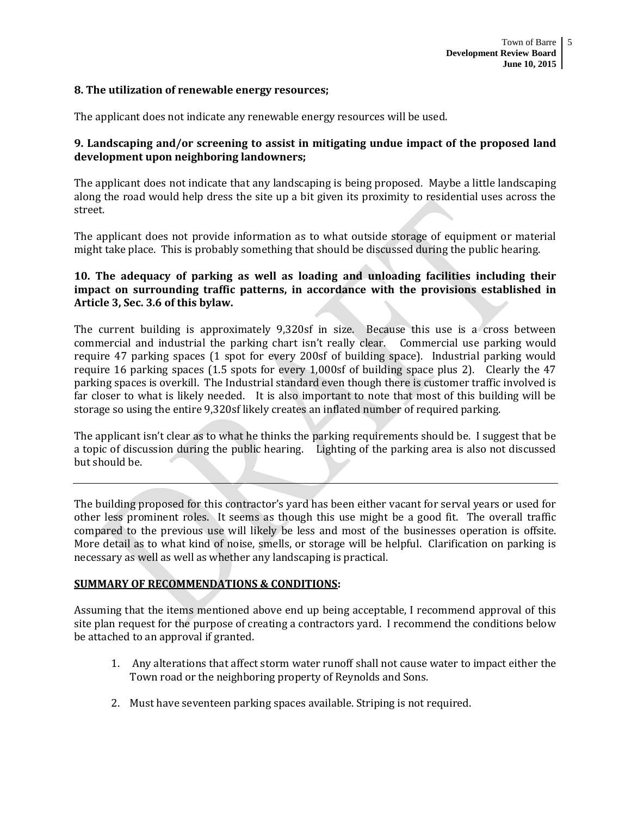#### **8. The utilization of renewable energy resources;**

The applicant does not indicate any renewable energy resources will be used.

### **9. Landscaping and/or screening to assist in mitigating undue impact of the proposed land development upon neighboring landowners;**

The applicant does not indicate that any landscaping is being proposed. Maybe a little landscaping along the road would help dress the site up a bit given its proximity to residential uses across the street.

The applicant does not provide information as to what outside storage of equipment or material might take place. This is probably something that should be discussed during the public hearing.

# **10. The adequacy of parking as well as loading and unloading facilities including their impact on surrounding traffic patterns, in accordance with the provisions established in Article 3, Sec. 3.6 of this bylaw.**

The current building is approximately 9,320sf in size. Because this use is a cross between commercial and industrial the parking chart isn't really clear. Commercial use parking would require 47 parking spaces (1 spot for every 200sf of building space). Industrial parking would require 16 parking spaces (1.5 spots for every 1,000sf of building space plus 2). Clearly the 47 parking spaces is overkill. The Industrial standard even though there is customer traffic involved is far closer to what is likely needed. It is also important to note that most of this building will be storage so using the entire 9,320sf likely creates an inflated number of required parking.

The applicant isn't clear as to what he thinks the parking requirements should be. I suggest that be a topic of discussion during the public hearing. Lighting of the parking area is also not discussed but should be.

The building proposed for this contractor's yard has been either vacant for serval years or used for other less prominent roles. It seems as though this use might be a good fit. The overall traffic compared to the previous use will likely be less and most of the businesses operation is offsite. More detail as to what kind of noise, smells, or storage will be helpful. Clarification on parking is necessary as well as well as whether any landscaping is practical.

#### **SUMMARY OF RECOMMENDATIONS & CONDITIONS:**

Assuming that the items mentioned above end up being acceptable, I recommend approval of this site plan request for the purpose of creating a contractors yard. I recommend the conditions below be attached to an approval if granted.

- 1. Any alterations that affect storm water runoff shall not cause water to impact either the Town road or the neighboring property of Reynolds and Sons.
- 2. Must have seventeen parking spaces available. Striping is not required.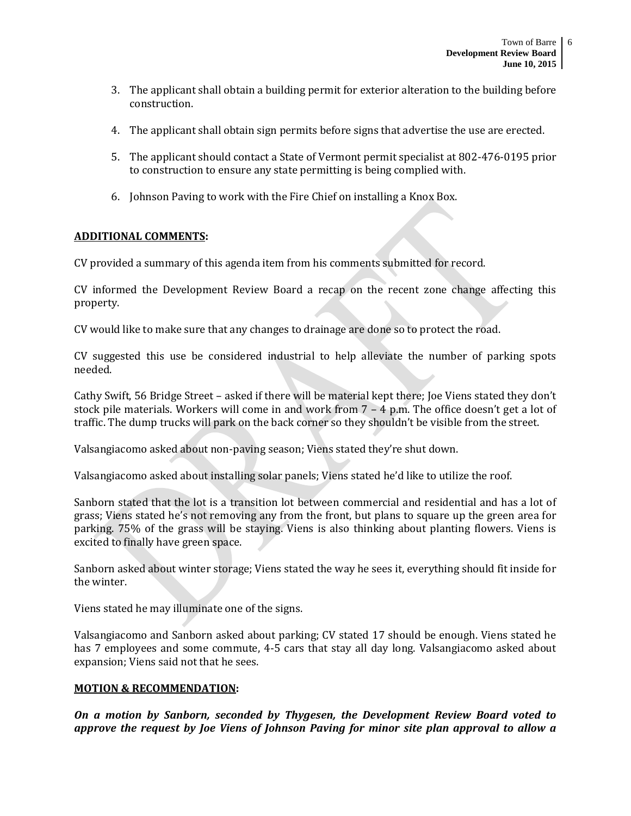- 3. The applicant shall obtain a building permit for exterior alteration to the building before construction.
- 4. The applicant shall obtain sign permits before signs that advertise the use are erected.
- 5. The applicant should contact a State of Vermont permit specialist at 802-476-0195 prior to construction to ensure any state permitting is being complied with.
- 6. Johnson Paving to work with the Fire Chief on installing a Knox Box.

# **ADDITIONAL COMMENTS:**

CV provided a summary of this agenda item from his comments submitted for record.

CV informed the Development Review Board a recap on the recent zone change affecting this property.

CV would like to make sure that any changes to drainage are done so to protect the road.

CV suggested this use be considered industrial to help alleviate the number of parking spots needed.

Cathy Swift, 56 Bridge Street – asked if there will be material kept there; Joe Viens stated they don't stock pile materials. Workers will come in and work from 7 – 4 p.m. The office doesn't get a lot of traffic. The dump trucks will park on the back corner so they shouldn't be visible from the street.

Valsangiacomo asked about non-paving season; Viens stated they're shut down.

Valsangiacomo asked about installing solar panels; Viens stated he'd like to utilize the roof.

Sanborn stated that the lot is a transition lot between commercial and residential and has a lot of grass; Viens stated he's not removing any from the front, but plans to square up the green area for parking. 75% of the grass will be staying. Viens is also thinking about planting flowers. Viens is excited to finally have green space.

Sanborn asked about winter storage; Viens stated the way he sees it, everything should fit inside for the winter.

Viens stated he may illuminate one of the signs.

Valsangiacomo and Sanborn asked about parking; CV stated 17 should be enough. Viens stated he has 7 employees and some commute, 4-5 cars that stay all day long. Valsangiacomo asked about expansion; Viens said not that he sees.

#### **MOTION & RECOMMENDATION:**

*On a motion by Sanborn, seconded by Thygesen, the Development Review Board voted to approve the request by Joe Viens of Johnson Paving for minor site plan approval to allow a*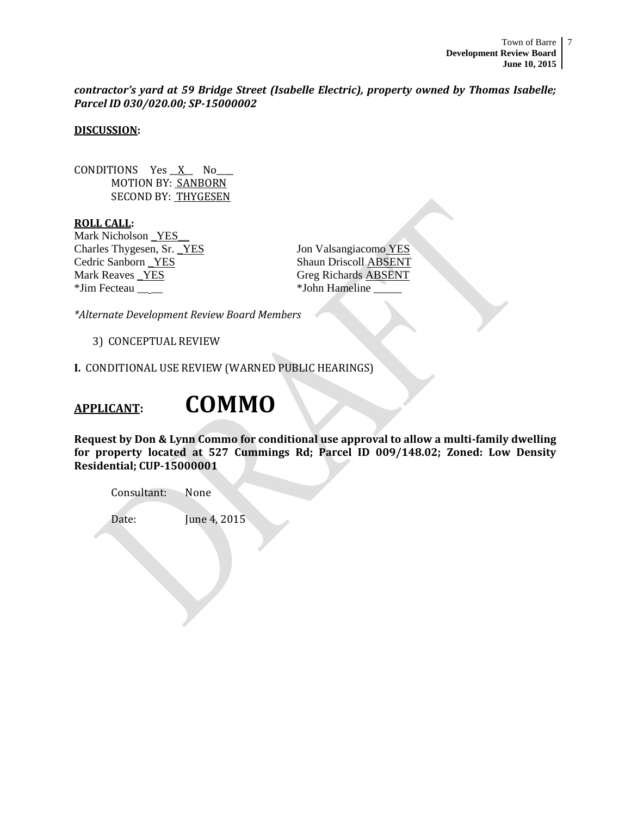*contractor's yard at 59 Bridge Street (Isabelle Electric), property owned by Thomas Isabelle; Parcel ID 030/020.00; SP-15000002*

# **DISCUSSION:**

CONDITIONS Yes  $X$  No MOTION BY: SANBORN SECOND BY: THYGESEN

**ROLL CALL:** Mark Nicholson YES Charles Thygesen, Sr. <u>YES</u> Jon Valsangiacomo YES Cedric Sanborn **YES** Shaun Driscoll ABSENT Mark Reaves <u>YES</u> Greg Richards ABSENT \*Jim Fecteau \_\_ \_\_ \*John Hameline \_\_\_\_\_

*\*Alternate Development Review Board Members*

3) CONCEPTUAL REVIEW

**I.** CONDITIONAL USE REVIEW (WARNED PUBLIC HEARINGS)

# **APPLICANT: COMMO**

**Request by Don & Lynn Commo for conditional use approval to allow a multi-family dwelling for property located at 527 Cummings Rd; Parcel ID 009/148.02; Zoned: Low Density Residential; CUP-15000001**

Consultant: None

Date: **June 4, 2015**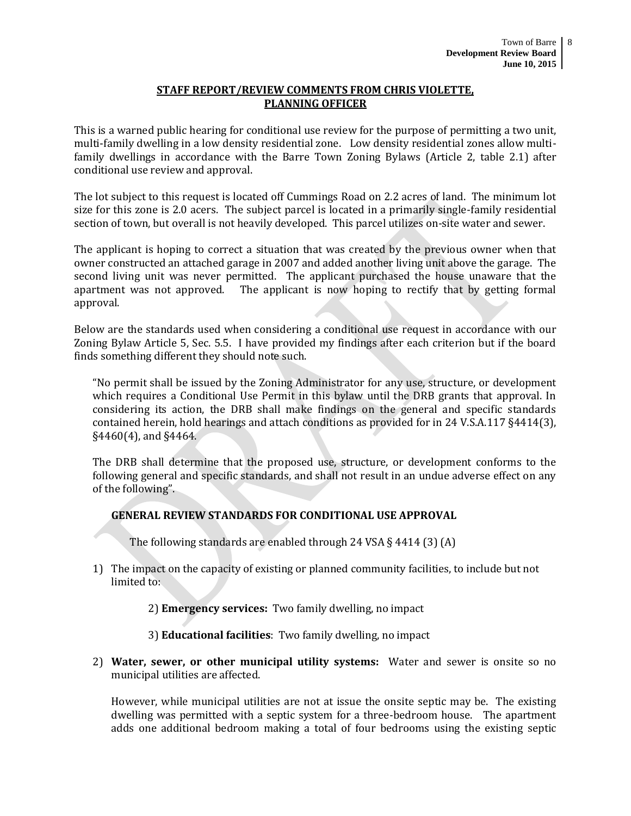#### **STAFF REPORT/REVIEW COMMENTS FROM CHRIS VIOLETTE, PLANNING OFFICER**

This is a warned public hearing for conditional use review for the purpose of permitting a two unit, multi-family dwelling in a low density residential zone. Low density residential zones allow multifamily dwellings in accordance with the Barre Town Zoning Bylaws (Article 2, table 2.1) after conditional use review and approval.

The lot subject to this request is located off Cummings Road on 2.2 acres of land. The minimum lot size for this zone is 2.0 acers. The subject parcel is located in a primarily single-family residential section of town, but overall is not heavily developed. This parcel utilizes on-site water and sewer.

The applicant is hoping to correct a situation that was created by the previous owner when that owner constructed an attached garage in 2007 and added another living unit above the garage. The second living unit was never permitted. The applicant purchased the house unaware that the apartment was not approved. The applicant is now hoping to rectify that by getting formal approval.

Below are the standards used when considering a conditional use request in accordance with our Zoning Bylaw Article 5, Sec. 5.5. I have provided my findings after each criterion but if the board finds something different they should note such.

"No permit shall be issued by the Zoning Administrator for any use, structure, or development which requires a Conditional Use Permit in this bylaw until the DRB grants that approval. In considering its action, the DRB shall make findings on the general and specific standards contained herein, hold hearings and attach conditions as provided for in 24 V.S.A.117 §4414(3), §4460(4), and §4464.

The DRB shall determine that the proposed use, structure, or development conforms to the following general and specific standards, and shall not result in an undue adverse effect on any of the following".

# **GENERAL REVIEW STANDARDS FOR CONDITIONAL USE APPROVAL**

The following standards are enabled through 24 VSA § 4414 (3) (A)

1) The impact on the capacity of existing or planned community facilities, to include but not limited to:

2) **Emergency services:** Two family dwelling, no impact

- 3) **Educational facilities**: Two family dwelling, no impact
- 2) **Water, sewer, or other municipal utility systems:** Water and sewer is onsite so no municipal utilities are affected.

However, while municipal utilities are not at issue the onsite septic may be. The existing dwelling was permitted with a septic system for a three-bedroom house. The apartment adds one additional bedroom making a total of four bedrooms using the existing septic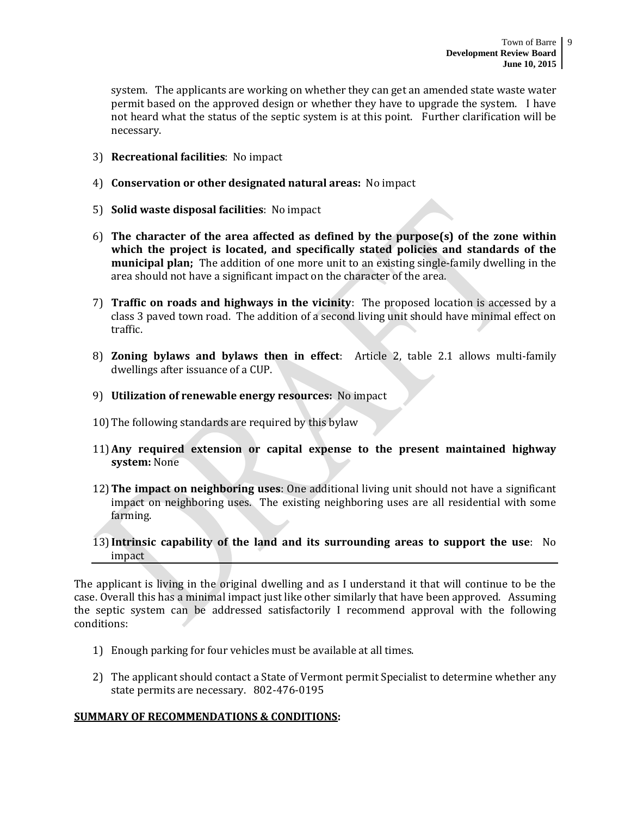system. The applicants are working on whether they can get an amended state waste water permit based on the approved design or whether they have to upgrade the system. I have not heard what the status of the septic system is at this point. Further clarification will be necessary.

- 3) **Recreational facilities**: No impact
- 4) **Conservation or other designated natural areas:** No impact
- 5) **Solid waste disposal facilities**: No impact
- 6) **The character of the area affected as defined by the purpose(s) of the zone within which the project is located, and specifically stated policies and standards of the municipal plan;** The addition of one more unit to an existing single-family dwelling in the area should not have a significant impact on the character of the area.
- 7) **Traffic on roads and highways in the vicinity**: The proposed location is accessed by a class 3 paved town road. The addition of a second living unit should have minimal effect on traffic.
- 8) **Zoning bylaws and bylaws then in effect**: Article 2, table 2.1 allows multi-family dwellings after issuance of a CUP.
- 9) **Utilization of renewable energy resources:** No impact
- 10)The following standards are required by this bylaw
- 11)**Any required extension or capital expense to the present maintained highway system:** None
- 12)**The impact on neighboring uses**: One additional living unit should not have a significant impact on neighboring uses. The existing neighboring uses are all residential with some farming.
- 13)**Intrinsic capability of the land and its surrounding areas to support the use**: No impact

The applicant is living in the original dwelling and as I understand it that will continue to be the case. Overall this has a minimal impact just like other similarly that have been approved. Assuming the septic system can be addressed satisfactorily I recommend approval with the following conditions:

- 1) Enough parking for four vehicles must be available at all times.
- 2) The applicant should contact a State of Vermont permit Specialist to determine whether any state permits are necessary. 802-476-0195

# **SUMMARY OF RECOMMENDATIONS & CONDITIONS:**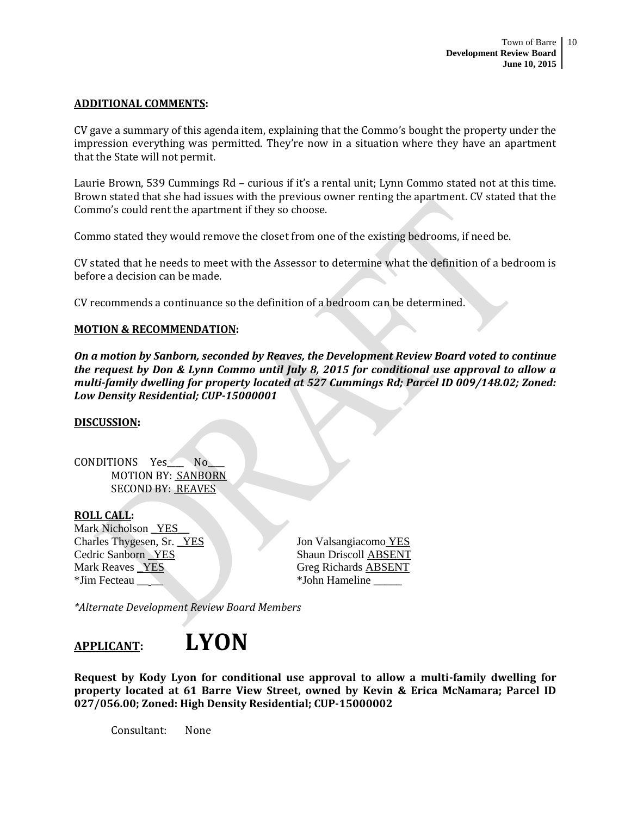#### **ADDITIONAL COMMENTS:**

CV gave a summary of this agenda item, explaining that the Commo's bought the property under the impression everything was permitted. They're now in a situation where they have an apartment that the State will not permit.

Laurie Brown, 539 Cummings Rd – curious if it's a rental unit; Lynn Commo stated not at this time. Brown stated that she had issues with the previous owner renting the apartment. CV stated that the Commo's could rent the apartment if they so choose.

Commo stated they would remove the closet from one of the existing bedrooms, if need be.

CV stated that he needs to meet with the Assessor to determine what the definition of a bedroom is before a decision can be made.

CV recommends a continuance so the definition of a bedroom can be determined.

#### **MOTION & RECOMMENDATION:**

*On a motion by Sanborn, seconded by Reaves, the Development Review Board voted to continue the request by Don & Lynn Commo until July 8, 2015 for conditional use approval to allow a multi-family dwelling for property located at 527 Cummings Rd; Parcel ID 009/148.02; Zoned: Low Density Residential; CUP-15000001*

#### **DISCUSSION:**

CONDITIONS Yes\_\_\_\_ No\_ MOTION BY: SANBORN SECOND BY: REAVES

#### **ROLL CALL:**

Mark Nicholson \_YES\_\_ Charles Thygesen, Sr. <u>YES</u> Jon Valsangiacomo YES Cedric Sanborn \_YES Shaun Driscoll ABSENT Mark Reaves **YES** Greg Richards ABSENT \*Jim Fecteau **Albert 1988** \*John Hameline

*\*Alternate Development Review Board Members*



**Request by Kody Lyon for conditional use approval to allow a multi-family dwelling for property located at 61 Barre View Street, owned by Kevin & Erica McNamara; Parcel ID 027/056.00; Zoned: High Density Residential; CUP-15000002**

Consultant: None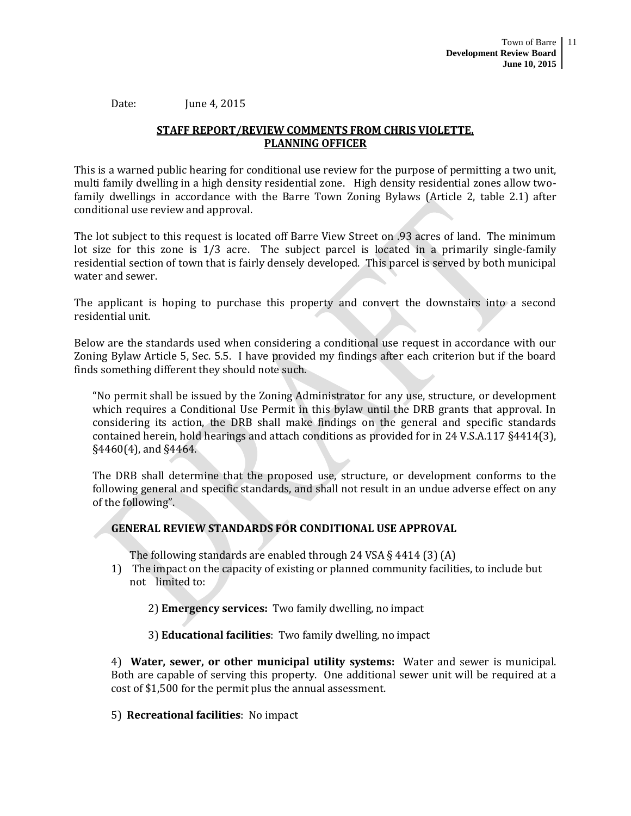Date: June 4, 2015

# **STAFF REPORT/REVIEW COMMENTS FROM CHRIS VIOLETTE, PLANNING OFFICER**

This is a warned public hearing for conditional use review for the purpose of permitting a two unit, multi family dwelling in a high density residential zone. High density residential zones allow twofamily dwellings in accordance with the Barre Town Zoning Bylaws (Article 2, table 2.1) after conditional use review and approval.

The lot subject to this request is located off Barre View Street on .93 acres of land. The minimum lot size for this zone is 1/3 acre. The subject parcel is located in a primarily single-family residential section of town that is fairly densely developed. This parcel is served by both municipal water and sewer.

The applicant is hoping to purchase this property and convert the downstairs into a second residential unit.

Below are the standards used when considering a conditional use request in accordance with our Zoning Bylaw Article 5, Sec. 5.5. I have provided my findings after each criterion but if the board finds something different they should note such.

"No permit shall be issued by the Zoning Administrator for any use, structure, or development which requires a Conditional Use Permit in this bylaw until the DRB grants that approval. In considering its action, the DRB shall make findings on the general and specific standards contained herein, hold hearings and attach conditions as provided for in 24 V.S.A.117 §4414(3), §4460(4), and §4464.

The DRB shall determine that the proposed use, structure, or development conforms to the following general and specific standards, and shall not result in an undue adverse effect on any of the following".

#### **GENERAL REVIEW STANDARDS FOR CONDITIONAL USE APPROVAL**

The following standards are enabled through 24 VSA § 4414 (3) (A)

1) The impact on the capacity of existing or planned community facilities, to include but not limited to:

2) **Emergency services:** Two family dwelling, no impact

3) **Educational facilities**: Two family dwelling, no impact

4) **Water, sewer, or other municipal utility systems:** Water and sewer is municipal. Both are capable of serving this property. One additional sewer unit will be required at a cost of \$1,500 for the permit plus the annual assessment.

5) **Recreational facilities**: No impact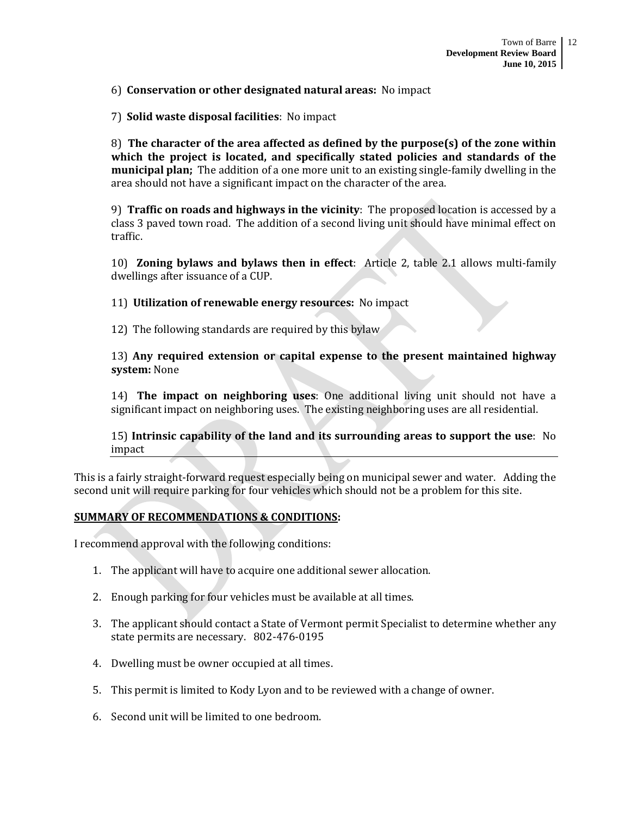#### 6) **Conservation or other designated natural areas:** No impact

7) **Solid waste disposal facilities**: No impact

8) **The character of the area affected as defined by the purpose(s) of the zone within which the project is located, and specifically stated policies and standards of the municipal plan;** The addition of a one more unit to an existing single-family dwelling in the area should not have a significant impact on the character of the area.

9) **Traffic on roads and highways in the vicinity**: The proposed location is accessed by a class 3 paved town road. The addition of a second living unit should have minimal effect on traffic.

10) **Zoning bylaws and bylaws then in effect**: Article 2, table 2.1 allows multi-family dwellings after issuance of a CUP.

11) **Utilization of renewable energy resources:** No impact

12) The following standards are required by this bylaw

13) **Any required extension or capital expense to the present maintained highway system:** None

14) **The impact on neighboring uses**: One additional living unit should not have a significant impact on neighboring uses. The existing neighboring uses are all residential.

15) **Intrinsic capability of the land and its surrounding areas to support the use**: No impact

This is a fairly straight-forward request especially being on municipal sewer and water. Adding the second unit will require parking for four vehicles which should not be a problem for this site.

#### **SUMMARY OF RECOMMENDATIONS & CONDITIONS:**

I recommend approval with the following conditions:

- 1. The applicant will have to acquire one additional sewer allocation.
- 2. Enough parking for four vehicles must be available at all times.
- 3. The applicant should contact a State of Vermont permit Specialist to determine whether any state permits are necessary. 802-476-0195
- 4. Dwelling must be owner occupied at all times.
- 5. This permit is limited to Kody Lyon and to be reviewed with a change of owner.
- 6. Second unit will be limited to one bedroom.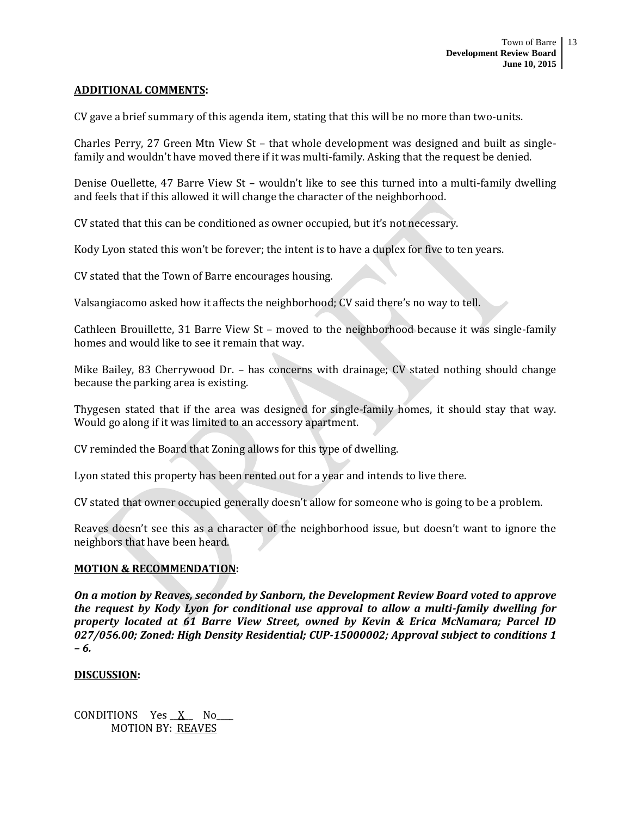#### **ADDITIONAL COMMENTS:**

CV gave a brief summary of this agenda item, stating that this will be no more than two-units.

Charles Perry, 27 Green Mtn View St – that whole development was designed and built as singlefamily and wouldn't have moved there if it was multi-family. Asking that the request be denied.

Denise Ouellette, 47 Barre View St – wouldn't like to see this turned into a multi-family dwelling and feels that if this allowed it will change the character of the neighborhood.

CV stated that this can be conditioned as owner occupied, but it's not necessary.

Kody Lyon stated this won't be forever; the intent is to have a duplex for five to ten years.

CV stated that the Town of Barre encourages housing.

Valsangiacomo asked how it affects the neighborhood; CV said there's no way to tell.

Cathleen Brouillette, 31 Barre View St – moved to the neighborhood because it was single-family homes and would like to see it remain that way.

Mike Bailey, 83 Cherrywood Dr. – has concerns with drainage; CV stated nothing should change because the parking area is existing.

Thygesen stated that if the area was designed for single-family homes, it should stay that way. Would go along if it was limited to an accessory apartment.

CV reminded the Board that Zoning allows for this type of dwelling.

Lyon stated this property has been rented out for a year and intends to live there.

CV stated that owner occupied generally doesn't allow for someone who is going to be a problem.

Reaves doesn't see this as a character of the neighborhood issue, but doesn't want to ignore the neighbors that have been heard.

#### **MOTION & RECOMMENDATION:**

*On a motion by Reaves, seconded by Sanborn, the Development Review Board voted to approve the request by Kody Lyon for conditional use approval to allow a multi-family dwelling for property located at 61 Barre View Street, owned by Kevin & Erica McNamara; Parcel ID 027/056.00; Zoned: High Density Residential; CUP-15000002; Approval subject to conditions 1 – 6.* 

#### **DISCUSSION:**

CONDITIONS Yes X No MOTION BY: REAVES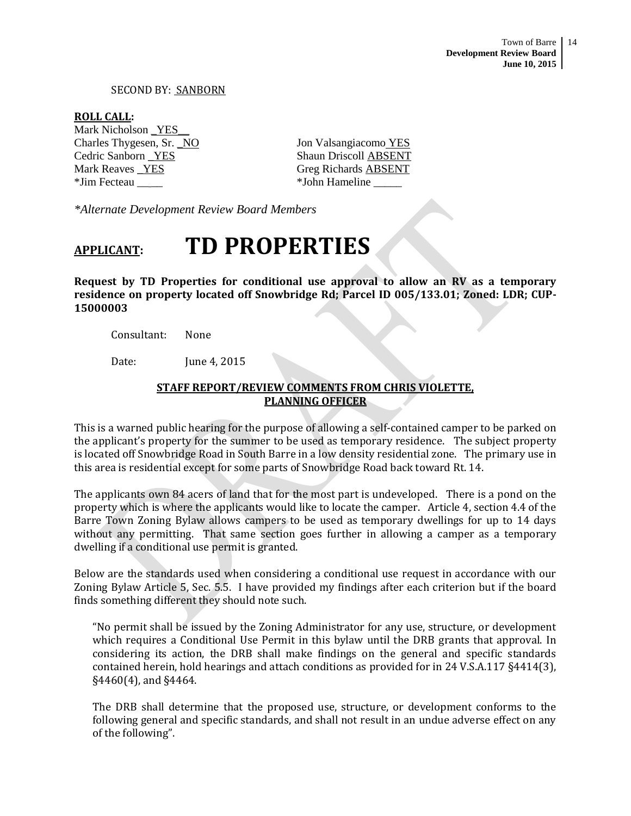Town of Barre 14 **Development Review Board June 10, 2015**

#### SECOND BY: SANBORN

**ROLL CALL:**

Mark Nicholson \_YES\_\_ Charles Thygesen, Sr. \_NO Jon Valsangiacomo YES Cedric Sanborn \_YES Shaun Driscoll ABSENT Mark Reaves \_YES Greg Richards ABSENT \*Jim Fecteau \_\_ \_\_ \*John Hameline \_\_\_\_\_

*\*Alternate Development Review Board Members*

# **APPLICANT: TD PROPERTIES**

**Request by TD Properties for conditional use approval to allow an RV as a temporary residence on property located off Snowbridge Rd; Parcel ID 005/133.01; Zoned: LDR; CUP-15000003**

Consultant: None

Date: June 4, 2015

# **STAFF REPORT/REVIEW COMMENTS FROM CHRIS VIOLETTE, PLANNING OFFICER**

This is a warned public hearing for the purpose of allowing a self-contained camper to be parked on the applicant's property for the summer to be used as temporary residence. The subject property is located off Snowbridge Road in South Barre in a low density residential zone. The primary use in this area is residential except for some parts of Snowbridge Road back toward Rt. 14.

The applicants own 84 acers of land that for the most part is undeveloped. There is a pond on the property which is where the applicants would like to locate the camper. Article 4, section 4.4 of the Barre Town Zoning Bylaw allows campers to be used as temporary dwellings for up to 14 days without any permitting. That same section goes further in allowing a camper as a temporary dwelling if a conditional use permit is granted.

Below are the standards used when considering a conditional use request in accordance with our Zoning Bylaw Article 5, Sec. 5.5. I have provided my findings after each criterion but if the board finds something different they should note such.

"No permit shall be issued by the Zoning Administrator for any use, structure, or development which requires a Conditional Use Permit in this bylaw until the DRB grants that approval. In considering its action, the DRB shall make findings on the general and specific standards contained herein, hold hearings and attach conditions as provided for in 24 V.S.A.117 §4414(3), §4460(4), and §4464.

The DRB shall determine that the proposed use, structure, or development conforms to the following general and specific standards, and shall not result in an undue adverse effect on any of the following".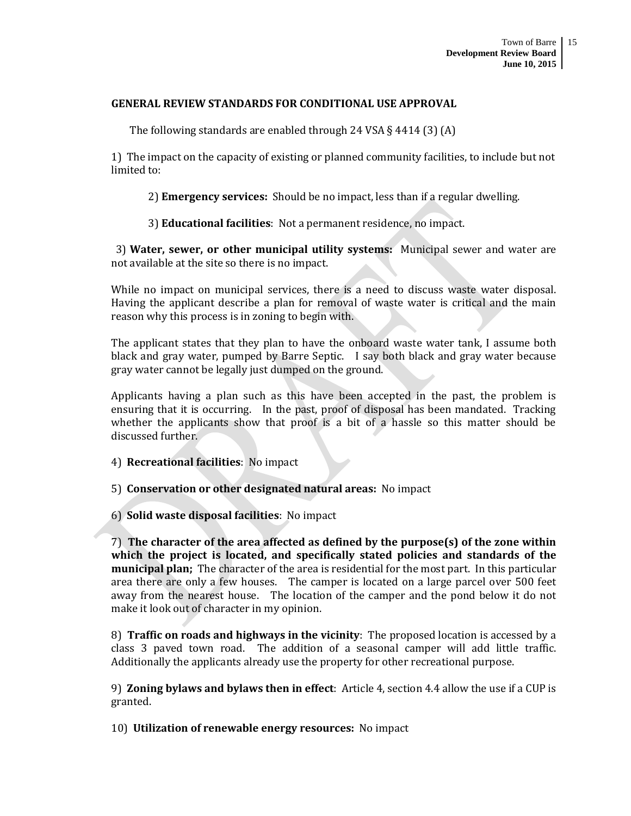#### **GENERAL REVIEW STANDARDS FOR CONDITIONAL USE APPROVAL**

The following standards are enabled through 24 VSA § 4414 (3) (A)

1) The impact on the capacity of existing or planned community facilities, to include but not limited to:

2) **Emergency services:** Should be no impact, less than if a regular dwelling.

3) **Educational facilities**: Not a permanent residence, no impact.

3) **Water, sewer, or other municipal utility systems:** Municipal sewer and water are not available at the site so there is no impact.

While no impact on municipal services, there is a need to discuss waste water disposal. Having the applicant describe a plan for removal of waste water is critical and the main reason why this process is in zoning to begin with.

The applicant states that they plan to have the onboard waste water tank, I assume both black and gray water, pumped by Barre Septic. I say both black and gray water because gray water cannot be legally just dumped on the ground.

Applicants having a plan such as this have been accepted in the past, the problem is ensuring that it is occurring. In the past, proof of disposal has been mandated. Tracking whether the applicants show that proof is a bit of a hassle so this matter should be discussed further.

4) **Recreational facilities**: No impact

5) **Conservation or other designated natural areas:** No impact

6) **Solid waste disposal facilities**: No impact

7) **The character of the area affected as defined by the purpose(s) of the zone within which the project is located, and specifically stated policies and standards of the municipal plan;** The character of the area is residential for the most part. In this particular area there are only a few houses. The camper is located on a large parcel over 500 feet away from the nearest house. The location of the camper and the pond below it do not make it look out of character in my opinion.

8) **Traffic on roads and highways in the vicinity**: The proposed location is accessed by a class 3 paved town road. The addition of a seasonal camper will add little traffic. Additionally the applicants already use the property for other recreational purpose.

9) **Zoning bylaws and bylaws then in effect**: Article 4, section 4.4 allow the use if a CUP is granted.

10) **Utilization of renewable energy resources:** No impact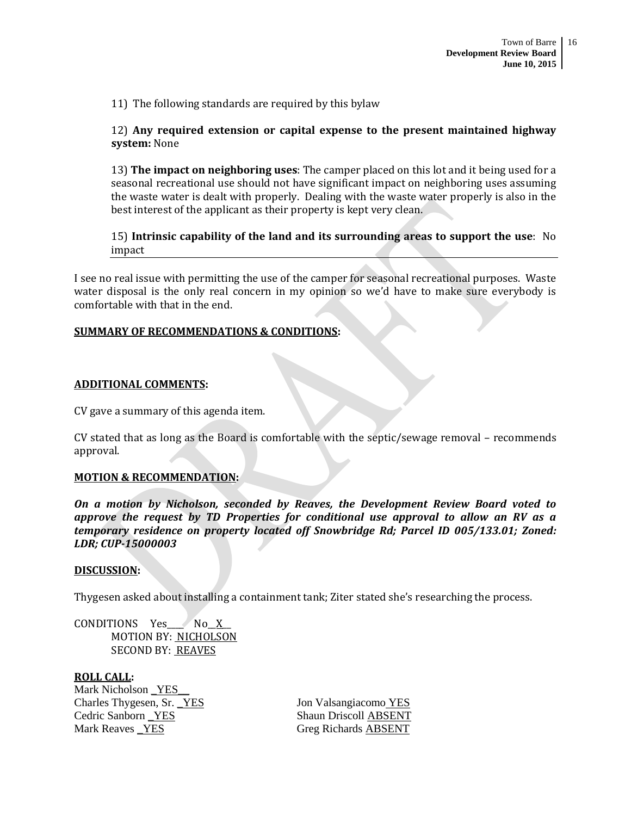11) The following standards are required by this bylaw

# 12) **Any required extension or capital expense to the present maintained highway system:** None

13) **The impact on neighboring uses**: The camper placed on this lot and it being used for a seasonal recreational use should not have significant impact on neighboring uses assuming the waste water is dealt with properly. Dealing with the waste water properly is also in the best interest of the applicant as their property is kept very clean.

15) **Intrinsic capability of the land and its surrounding areas to support the use**: No impact

I see no real issue with permitting the use of the camper for seasonal recreational purposes. Waste water disposal is the only real concern in my opinion so we'd have to make sure everybody is comfortable with that in the end.

#### **SUMMARY OF RECOMMENDATIONS & CONDITIONS:**

#### **ADDITIONAL COMMENTS:**

CV gave a summary of this agenda item.

CV stated that as long as the Board is comfortable with the septic/sewage removal – recommends approval.

#### **MOTION & RECOMMENDATION:**

*On a motion by Nicholson, seconded by Reaves, the Development Review Board voted to approve the request by TD Properties for conditional use approval to allow an RV as a temporary residence on property located off Snowbridge Rd; Parcel ID 005/133.01; Zoned: LDR; CUP-15000003*

#### **DISCUSSION:**

Thygesen asked about installing a containment tank; Ziter stated she's researching the process.

CONDITIONS Yes\_\_\_\_\_\_\_\_ No\_\_\_ X\_\_\_ MOTION BY: NICHOLSON SECOND BY: REAVES

**ROLL CALL:** Mark Nicholson YES Charles Thygesen, Sr. <u>YES</u> Jon Valsangiacomo YES Cedric Sanborn YES Shaun Driscoll ABSENT Mark Reaves YES Greg Richards ABSENT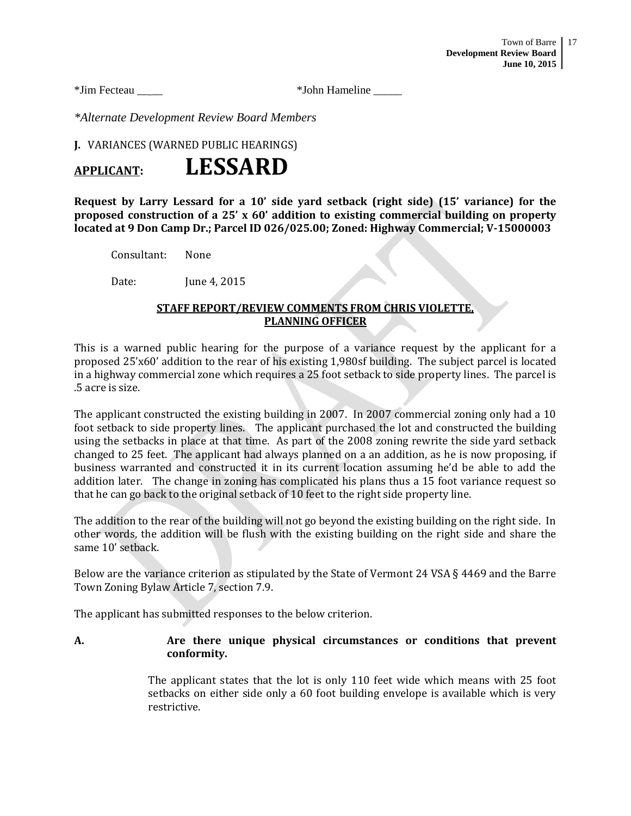\*Jim Fecteau \_\_ \_\_ \*John Hameline \_\_\_\_\_

*\*Alternate Development Review Board Members*

**J.** VARIANCES (WARNED PUBLIC HEARINGS)

# **APPLICANT: LESSARD**

**Request by Larry Lessard for a 10' side yard setback (right side) (15' variance) for the proposed construction of a 25' x 60' addition to existing commercial building on property located at 9 Don Camp Dr.; Parcel ID 026/025.00; Zoned: Highway Commercial; V-15000003**

Consultant: None

Date: **June 4, 2015** 

# **STAFF REPORT/REVIEW COMMENTS FROM CHRIS VIOLETTE, PLANNING OFFICER**

This is a warned public hearing for the purpose of a variance request by the applicant for a proposed 25'x60' addition to the rear of his existing 1,980sf building. The subject parcel is located in a highway commercial zone which requires a 25 foot setback to side property lines. The parcel is .5 acre is size.

The applicant constructed the existing building in 2007. In 2007 commercial zoning only had a 10 foot setback to side property lines. The applicant purchased the lot and constructed the building using the setbacks in place at that time. As part of the 2008 zoning rewrite the side yard setback changed to 25 feet. The applicant had always planned on a an addition, as he is now proposing, if business warranted and constructed it in its current location assuming he'd be able to add the addition later. The change in zoning has complicated his plans thus a 15 foot variance request so that he can go back to the original setback of 10 feet to the right side property line.

The addition to the rear of the building will not go beyond the existing building on the right side. In other words, the addition will be flush with the existing building on the right side and share the same 10' setback.

Below are the variance criterion as stipulated by the State of Vermont 24 VSA § 4469 and the Barre Town Zoning Bylaw Article 7, section 7.9.

The applicant has submitted responses to the below criterion.

#### **A. Are there unique physical circumstances or conditions that prevent conformity.**

The applicant states that the lot is only 110 feet wide which means with 25 foot setbacks on either side only a 60 foot building envelope is available which is very restrictive.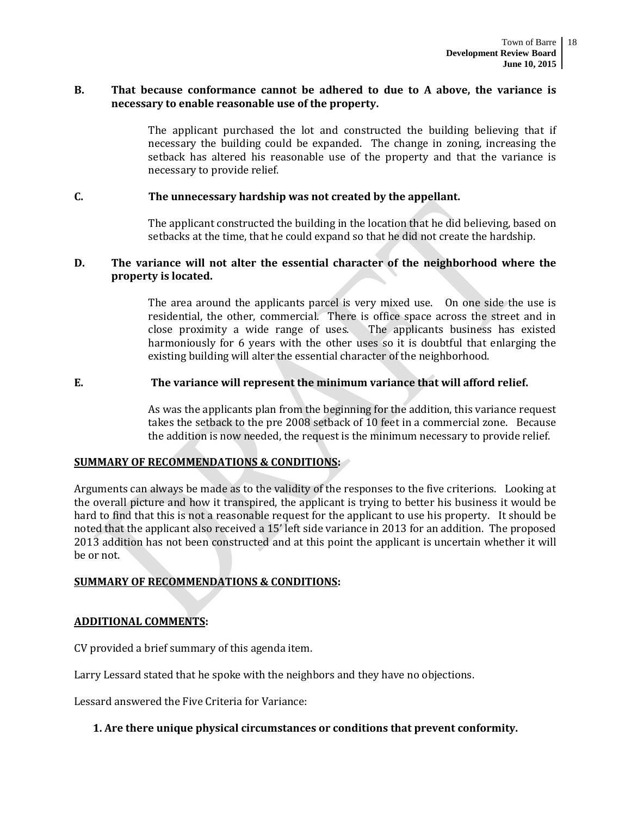#### **B. That because conformance cannot be adhered to due to A above, the variance is necessary to enable reasonable use of the property.**

The applicant purchased the lot and constructed the building believing that if necessary the building could be expanded. The change in zoning, increasing the setback has altered his reasonable use of the property and that the variance is necessary to provide relief.

#### **C. The unnecessary hardship was not created by the appellant.**

The applicant constructed the building in the location that he did believing, based on setbacks at the time, that he could expand so that he did not create the hardship.

### **D. The variance will not alter the essential character of the neighborhood where the property is located.**

The area around the applicants parcel is very mixed use. On one side the use is residential, the other, commercial. There is office space across the street and in close proximity a wide range of uses. The applicants business has existed harmoniously for 6 years with the other uses so it is doubtful that enlarging the existing building will alter the essential character of the neighborhood.

#### **E. The variance will represent the minimum variance that will afford relief.**

As was the applicants plan from the beginning for the addition, this variance request takes the setback to the pre 2008 setback of 10 feet in a commercial zone. Because the addition is now needed, the request is the minimum necessary to provide relief.

#### **SUMMARY OF RECOMMENDATIONS & CONDITIONS:**

Arguments can always be made as to the validity of the responses to the five criterions. Looking at the overall picture and how it transpired, the applicant is trying to better his business it would be hard to find that this is not a reasonable request for the applicant to use his property. It should be noted that the applicant also received a 15' left side variance in 2013 for an addition. The proposed 2013 addition has not been constructed and at this point the applicant is uncertain whether it will be or not.

#### **SUMMARY OF RECOMMENDATIONS & CONDITIONS:**

#### **ADDITIONAL COMMENTS:**

CV provided a brief summary of this agenda item.

Larry Lessard stated that he spoke with the neighbors and they have no objections.

Lessard answered the Five Criteria for Variance:

#### **1. Are there unique physical circumstances or conditions that prevent conformity.**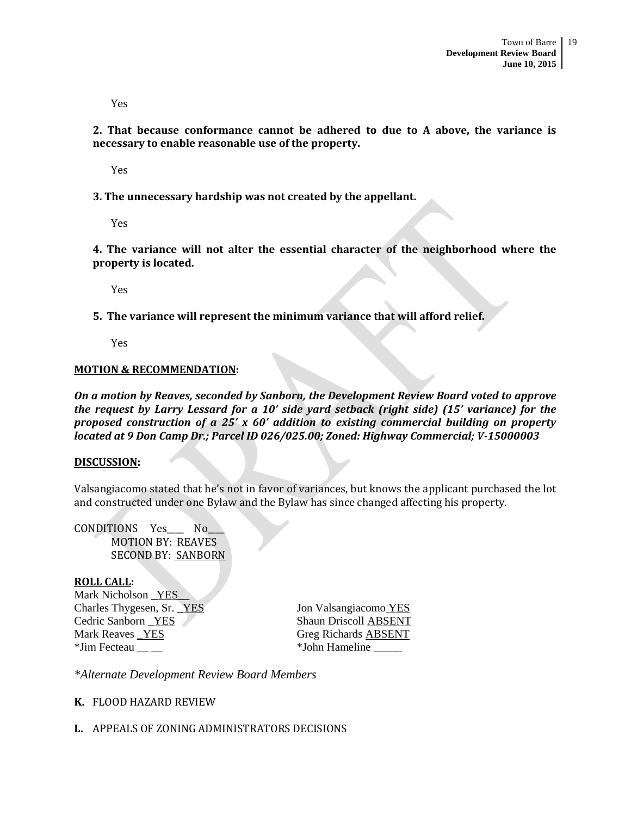Yes

**2. That because conformance cannot be adhered to due to A above, the variance is necessary to enable reasonable use of the property.**

Yes

**3. The unnecessary hardship was not created by the appellant.**

Yes

**4. The variance will not alter the essential character of the neighborhood where the property is located.**

Yes

**5. The variance will represent the minimum variance that will afford relief.** 

Yes

#### **MOTION & RECOMMENDATION:**

*On a motion by Reaves, seconded by Sanborn, the Development Review Board voted to approve the request by Larry Lessard for a 10' side yard setback (right side) (15' variance) for the proposed construction of a 25' x 60' addition to existing commercial building on property located at 9 Don Camp Dr.; Parcel ID 026/025.00; Zoned: Highway Commercial; V-15000003*

#### **DISCUSSION:**

Valsangiacomo stated that he's not in favor of variances, but knows the applicant purchased the lot and constructed under one Bylaw and the Bylaw has since changed affecting his property.

CONDITIONS Yes\_\_\_\_ No\_\_\_\_ MOTION BY: REAVES SECOND BY: SANBORN

#### **ROLL CALL:**

Mark Nicholson YES Charles Thygesen, Sr. \_YES Jon Valsangiacomo YES Cedric Sanborn <u>YES</u> Shaun Driscoll ABSENT Mark Reaves YES Greg Richards ABSENT \*Jim Fecteau  $\bullet$  Yohn Hameline

*\*Alternate Development Review Board Members*

#### **K.** FLOOD HAZARD REVIEW

#### **L.** APPEALS OF ZONING ADMINISTRATORS DECISIONS